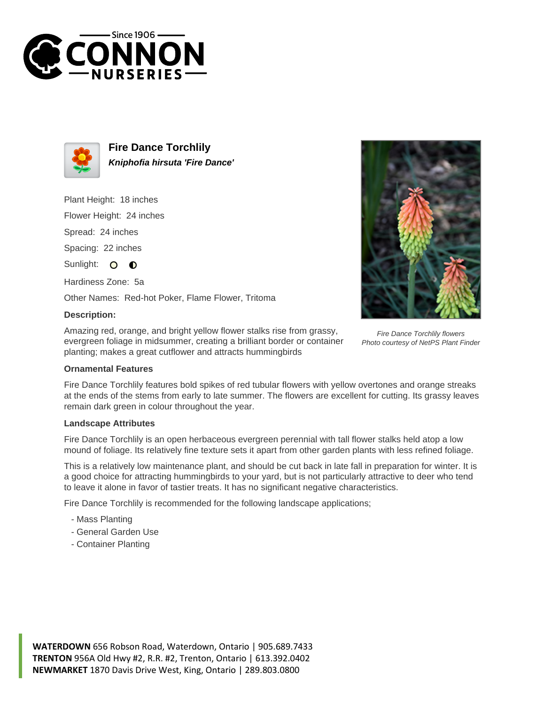



**Fire Dance Torchlily Kniphofia hirsuta 'Fire Dance'**

Plant Height: 18 inches

Flower Height: 24 inches

Spread: 24 inches

Spacing: 22 inches

Sunlight: O  $\bullet$ 

Hardiness Zone: 5a

Other Names: Red-hot Poker, Flame Flower, Tritoma

## **Description:**

Amazing red, orange, and bright yellow flower stalks rise from grassy, evergreen foliage in midsummer, creating a brilliant border or container planting; makes a great cutflower and attracts hummingbirds



## **Ornamental Features**

Fire Dance Torchlily features bold spikes of red tubular flowers with yellow overtones and orange streaks at the ends of the stems from early to late summer. The flowers are excellent for cutting. Its grassy leaves remain dark green in colour throughout the year.

## **Landscape Attributes**

Fire Dance Torchlily is an open herbaceous evergreen perennial with tall flower stalks held atop a low mound of foliage. Its relatively fine texture sets it apart from other garden plants with less refined foliage.

This is a relatively low maintenance plant, and should be cut back in late fall in preparation for winter. It is a good choice for attracting hummingbirds to your yard, but is not particularly attractive to deer who tend to leave it alone in favor of tastier treats. It has no significant negative characteristics.

Fire Dance Torchlily is recommended for the following landscape applications;

- Mass Planting
- General Garden Use
- Container Planting

**WATERDOWN** 656 Robson Road, Waterdown, Ontario | 905.689.7433 **TRENTON** 956A Old Hwy #2, R.R. #2, Trenton, Ontario | 613.392.0402 **NEWMARKET** 1870 Davis Drive West, King, Ontario | 289.803.0800